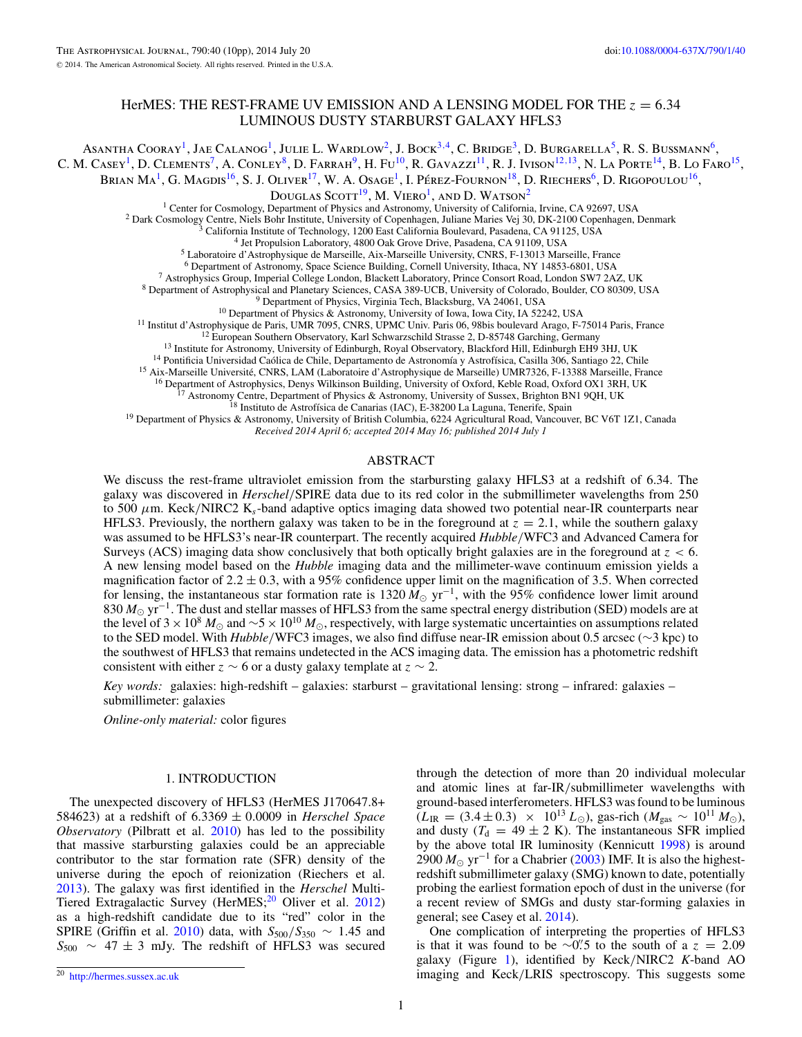# HerMES: THE REST-FRAME UV EMISSION AND A LENSING MODEL FOR THE *z* = 6*.*34 LUMINOUS DUSTY STARBURST GALAXY HFLS3

Asantha Cooray<sup>1</sup>, Jae Calanog<sup>1</sup>, Julie L. Wardlow<sup>2</sup>, J. Bock<sup>3,4</sup>, C. Bridge<sup>3</sup>, D. Burgarella<sup>5</sup>, R. S. Bussmann<sup>6</sup>, C. M. Casey<sup>1</sup>, D. Clements<sup>7</sup>, A. Conley<sup>8</sup>, D. Farrah<sup>9</sup>, H. Fu<sup>10</sup>, R. Gavazzi<sup>11</sup>, R. J. Ivison<sup>12,13</sup>, N. La Porte<sup>14</sup>, B. Lo Faro<sup>15</sup>, Brian Ma<sup>1</sup>, G. Magdis<sup>16</sup>, S. J. Oliver<sup>17</sup>, W. A. Osage<sup>1</sup>, I. Pérez-Fournon<sup>18</sup>, D. Riechers<sup>6</sup>, D. Rigopoulou<sup>16</sup>, DOUGLAS  $S\text{COTT}^{19}$ , M. VIERO<sup>1</sup>, AND D. WATSON<sup>2</sup><br><sup>1</sup> Center for Cosmology, Department of Physics and Astronomy, University of California, Irvine, CA 92697, USA <sup>2</sup> Dark Cosmology Centre, Niels Bohr Institute, University of Copenhagen, Juliane Maries Vej 30, DK-2100 Copenhagen, Denmark <sup>3</sup> California Institute of Technology, 1200 East California Boulevard, Pasadena, CA 91125, USA

<sup>7</sup> Astrophysics Group, Imperial College London, Blackett Laboratory, Prince Consort Road, London SW7 2AZ, UK<br>
<sup>8</sup> Department of Astrophysical and Planetary Sciences, CASA 389-UCB, University of Colorado, Boulder, CO 8030

*Received 2014 April 6; accepted 2014 May 16; published 2014 July 1*

#### ABSTRACT

We discuss the rest-frame ultraviolet emission from the starbursting galaxy HFLS3 at a redshift of 6.34. The galaxy was discovered in *Herschel/*SPIRE data due to its red color in the submillimeter wavelengths from 250 to 500  $\mu$ m. Keck/NIRC2 K<sub>s</sub>-band adaptive optics imaging data showed two potential near-IR counterparts near HFLS3. Previously, the northern galaxy was taken to be in the foreground at  $z = 2.1$ , while the southern galaxy was assumed to be HFLS3's near-IR counterpart. The recently acquired *Hubble/*WFC3 and Advanced Camera for Surveys (ACS) imaging data show conclusively that both optically bright galaxies are in the foreground at *z <* 6. A new lensing model based on the *Hubble* imaging data and the millimeter-wave continuum emission yields a magnification factor of  $2.2 \pm 0.3$ , with a 95% confidence upper limit on the magnification of 3.5. When corrected for lensing, the instantaneous star formation rate is 1320  $\tilde{M}_{\odot}$  yr<sup>-1</sup>, with the 95% confidence lower limit around 830 *M*<sub>○</sub> yr<sup>-1</sup>. The dust and stellar masses of HFLS3 from the same spectral energy distribution (SED) models are at the level of 3 × 10<sup>8</sup> *M*<sub>☉</sub> and ~5 × 10<sup>10</sup> *M*<sub>☉</sub>, respectively, with large systematic uncertainties on assumptions related to the SED model. With *Hubble/*WFC3 images, we also find diffuse near-IR emission about 0.5 arcsec (∼3 kpc) to the southwest of HFLS3 that remains undetected in the ACS imaging data. The emission has a photometric redshift consistent with either  $z \sim 6$  or a dusty galaxy template at  $z \sim 2$ .

*Key words:* galaxies: high-redshift – galaxies: starburst – gravitational lensing: strong – infrared: galaxies – submillimeter: galaxies

*Online-only material:* color figures

## 1. INTRODUCTION

The unexpected discovery of HFLS3 (HerMES J170647.8+ 584623) at a redshift of 6*.*3369 ± 0*.*0009 in *Herschel Space Observatory* (Pilbratt et al. [2010\)](#page-9-0) has led to the possibility that massive starbursting galaxies could be an appreciable contributor to the star formation rate (SFR) density of the universe during the epoch of reionization (Riechers et al. [2013\)](#page-9-0). The galaxy was first identified in the *Herschel* Multi-Tiered Extragalactic Survey (HerMES;<sup>20</sup> Oliver et al. [2012\)](#page-9-0) as a high-redshift candidate due to its "red" color in the SPIRE (Griffin et al. [2010\)](#page-9-0) data, with  $S_{500}/S_{350} \sim 1.45$  and  $S_{500} \sim 47 \pm 3$  mJy. The redshift of HFLS3 was secured

through the detection of more than 20 individual molecular and atomic lines at far-IR*/*submillimeter wavelengths with ground-based interferometers. HFLS3 was found to be luminous  $(L_{\text{IR}} = (3.4 \pm 0.3) \times 10^{13} L_{\odot})$ , gas-rich  $(M_{\text{gas}} \sim 10^{11} M_{\odot})$ , and dusty ( $T_d = 49 \pm 2$  K). The instantaneous SFR implied by the above total IR luminosity (Kennicutt [1998\)](#page-9-0) is around 2900  $M_{\odot}$  yr<sup>-1</sup> for a Chabrier [\(2003\)](#page-9-0) IMF. It is also the highestredshift submillimeter galaxy (SMG) known to date, potentially probing the earliest formation epoch of dust in the universe (for a recent review of SMGs and dusty star-forming galaxies in general; see Casey et al. [2014\)](#page-9-0).

One complication of interpreting the properties of HFLS3 is that it was found to be ∼0.<sup>2</sup>.5 to the south of a  $z = 2.09$ galaxy (Figure [1\)](#page-1-0), identified by Keck*/*NIRC2 *K*-band AO imaging and Keck*/*LRIS spectroscopy. This suggests some

<sup>20</sup> <http://hermes.sussex.ac.uk>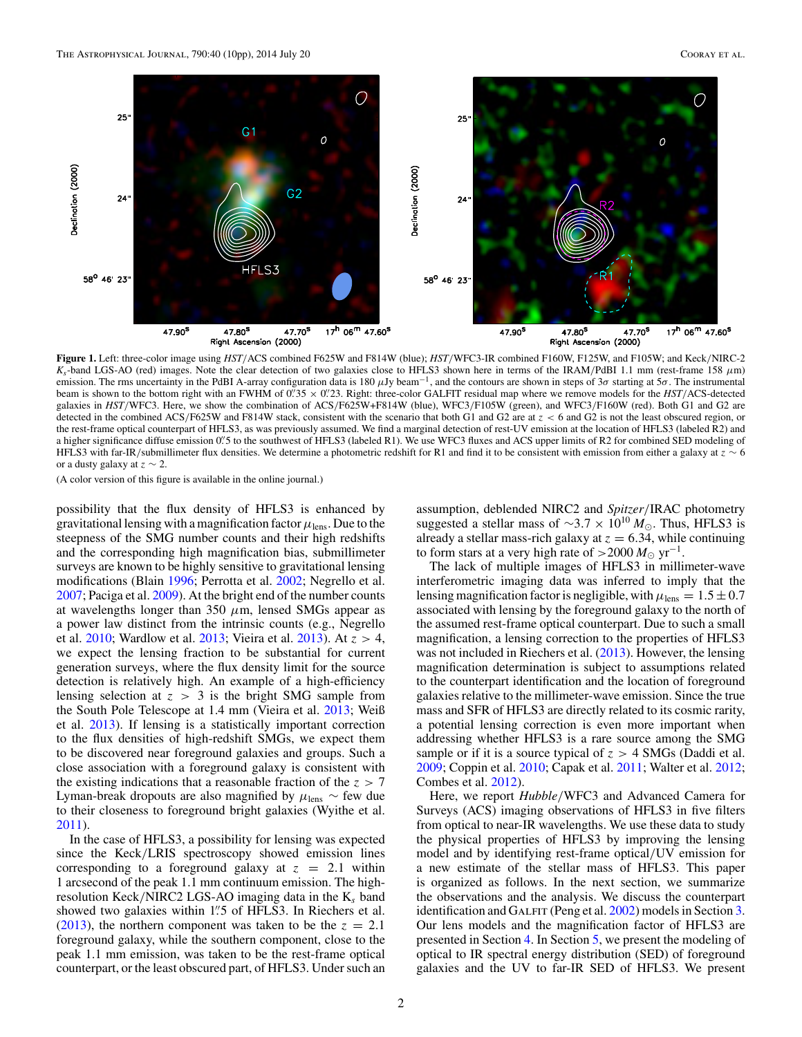<span id="page-1-0"></span>

**Figure 1.** Left: three-color image using *HST/*ACS combined F625W and F814W (blue); *HST/*WFC3-IR combined F160W, F125W, and F105W; and Keck*/*NIRC-2 *Ks*-band LGS-AO (red) images. Note the clear detection of two galaxies close to HFLS3 shown here in terms of the IRAM*/*PdBI 1.1 mm (rest-frame 158 *μ*m) emission. The rms uncertainty in the PdBI A-array configuration data is 180 *μ*Jy beam−1, and the contours are shown in steps of 3*σ* starting at 5*σ*. The instrumental beam is shown to the bottom right with an FWHM of  $0^{\prime\prime}35 \times 0^{\prime\prime}23$ . Right: three-color GALFIT residual map where we remove models for the *HST*/ACS-detected galaxies in *HST/*WFC3. Here, we show the combination of ACS*/*F625W+F814W (blue), WFC3*/*F105W (green), and WFC3*/*F160W (red). Both G1 and G2 are detected in the combined ACS*/*F625W and F814W stack, consistent with the scenario that both G1 and G2 are at *z <* 6 and G2 is not the least obscured region, or the rest-frame optical counterpart of HFLS3, as was previously assumed. We find a marginal detection of rest-UV emission at the location of HFLS3 (labeled R2) and a higher significance diffuse emission 0. 5 to the southwest of HFLS3 (labeled R1). We use WFC3 fluxes and ACS upper limits of R2 for combined SED modeling of HFLS3 with far-IR*/*submillimeter flux densities. We determine a photometric redshift for R1 and find it to be consistent with emission from either a galaxy at *z* ∼ 6 or a dusty galaxy at *z* ∼ 2.

possibility that the flux density of HFLS3 is enhanced by gravitational lensing with a magnification factor  $\mu_{\text{lens}}$ . Due to the steepness of the SMG number counts and their high redshifts and the corresponding high magnification bias, submillimeter surveys are known to be highly sensitive to gravitational lensing modifications (Blain [1996;](#page-9-0) Perrotta et al. [2002;](#page-9-0) Negrello et al. [2007;](#page-9-0) Paciga et al. [2009\)](#page-9-0). At the bright end of the number counts at wavelengths longer than 350 *μ*m, lensed SMGs appear as a power law distinct from the intrinsic counts (e.g., Negrello et al. [2010;](#page-9-0) Wardlow et al. [2013;](#page-9-0) Vieira et al. [2013\)](#page-9-0). At *z >* 4, we expect the lensing fraction to be substantial for current generation surveys, where the flux density limit for the source detection is relatively high. An example of a high-efficiency lensing selection at  $z > 3$  is the bright SMG sample from the South Pole Telescope at 1.4 mm (Vieira et al. [2013;](#page-9-0) Weiß et al. [2013\)](#page-9-0). If lensing is a statistically important correction to the flux densities of high-redshift SMGs, we expect them to be discovered near foreground galaxies and groups. Such a close association with a foreground galaxy is consistent with the existing indications that a reasonable fraction of the *z >* 7 Lyman-break dropouts are also magnified by  $\mu_{\text{lens}} \sim \text{few}$  due to their closeness to foreground bright galaxies (Wyithe et al. [2011\)](#page-9-0).

In the case of HFLS3, a possibility for lensing was expected since the Keck*/*LRIS spectroscopy showed emission lines corresponding to a foreground galaxy at  $z = 2.1$  within 1 arcsecond of the peak 1.1 mm continuum emission. The highresolution Keck*/*NIRC2 LGS-AO imaging data in the K*<sup>s</sup>* band showed two galaxies within 1*.* 5 of HFLS3. In Riechers et al. [\(2013\)](#page-9-0), the northern component was taken to be the  $z = 2.1$ foreground galaxy, while the southern component, close to the peak 1.1 mm emission, was taken to be the rest-frame optical counterpart, or the least obscured part, of HFLS3. Under such an assumption, deblended NIRC2 and *Spitzer/*IRAC photometry suggested a stellar mass of  $\sim$ 3.7 × 10<sup>10</sup>  $M_{\odot}$ . Thus, HFLS3 is already a stellar mass-rich galaxy at  $z = 6.34$ , while continuing to form stars at a very high rate of  $>$ 2000  $M_{\odot}$  yr<sup>-1</sup>.

The lack of multiple images of HFLS3 in millimeter-wave interferometric imaging data was inferred to imply that the lensing magnification factor is negligible, with  $\mu_{\text{lens}} = 1.5 \pm 0.7$ associated with lensing by the foreground galaxy to the north of the assumed rest-frame optical counterpart. Due to such a small magnification, a lensing correction to the properties of HFLS3 was not included in Riechers et al. [\(2013\)](#page-9-0). However, the lensing magnification determination is subject to assumptions related to the counterpart identification and the location of foreground galaxies relative to the millimeter-wave emission. Since the true mass and SFR of HFLS3 are directly related to its cosmic rarity, a potential lensing correction is even more important when addressing whether HFLS3 is a rare source among the SMG sample or if it is a source typical of *z >* 4 SMGs (Daddi et al. [2009;](#page-9-0) Coppin et al. [2010;](#page-9-0) Capak et al. [2011;](#page-9-0) Walter et al. [2012;](#page-9-0) Combes et al. [2012\)](#page-9-0).

Here, we report *Hubble/*WFC3 and Advanced Camera for Surveys (ACS) imaging observations of HFLS3 in five filters from optical to near-IR wavelengths. We use these data to study the physical properties of HFLS3 by improving the lensing model and by identifying rest-frame optical*/*UV emission for a new estimate of the stellar mass of HFLS3. This paper is organized as follows. In the next section, we summarize the observations and the analysis. We discuss the counterpart identification and GALFIT (Peng et al. [2002\)](#page-9-0) models in Section [3.](#page-2-0) Our lens models and the magnification factor of HFLS3 are presented in Section [4.](#page-2-0) In Section [5,](#page-6-0) we present the modeling of optical to IR spectral energy distribution (SED) of foreground galaxies and the UV to far-IR SED of HFLS3. We present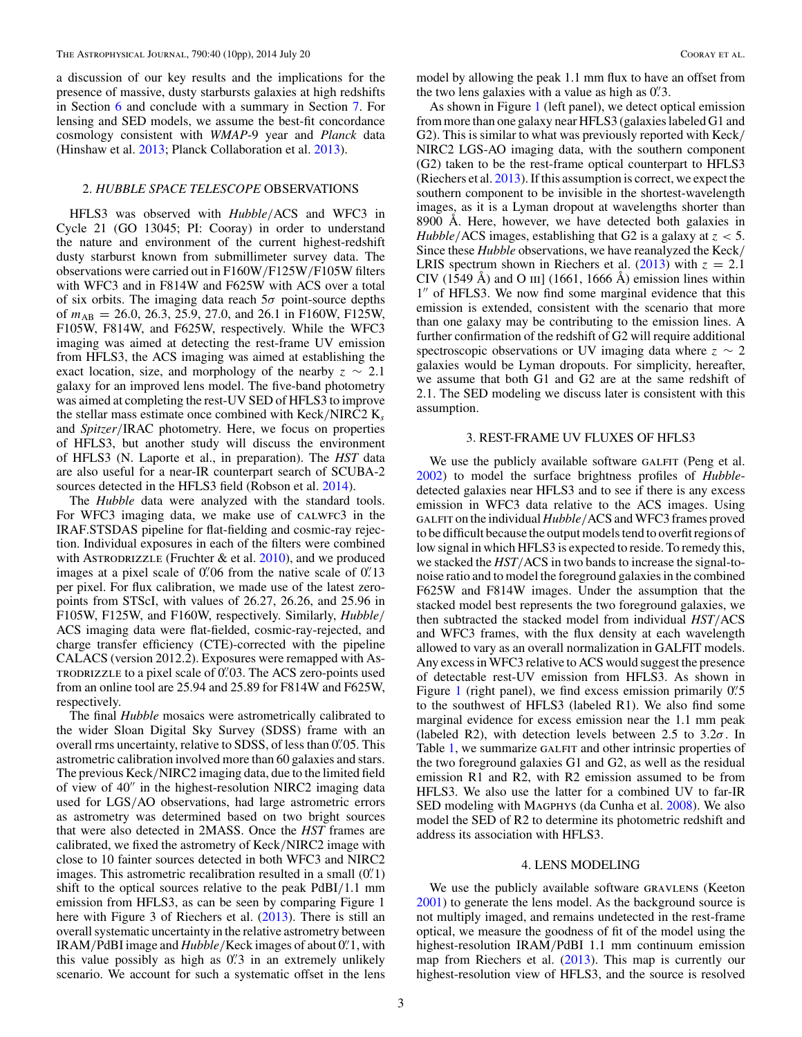<span id="page-2-0"></span>a discussion of our key results and the implications for the presence of massive, dusty starbursts galaxies at high redshifts in Section [6](#page-7-0) and conclude with a summary in Section [7.](#page-9-0) For lensing and SED models, we assume the best-fit concordance cosmology consistent with *WMAP*-9 year and *Planck* data (Hinshaw et al. [2013;](#page-9-0) Planck Collaboration et al. [2013\)](#page-9-0).

## 2. *HUBBLE SPACE TELESCOPE* OBSERVATIONS

HFLS3 was observed with *Hubble/*ACS and WFC3 in Cycle 21 (GO 13045; PI: Cooray) in order to understand the nature and environment of the current highest-redshift dusty starburst known from submillimeter survey data. The observations were carried out in F160W*/*F125W*/*F105W filters with WFC3 and in F814W and F625W with ACS over a total of six orbits. The imaging data reach 5*σ* point-source depths of  $m_{AB} = 26.0, 26.3, 25.9, 27.0,$  and 26.1 in F160W, F125W, F105W, F814W, and F625W, respectively. While the WFC3 imaging was aimed at detecting the rest-frame UV emission from HFLS3, the ACS imaging was aimed at establishing the exact location, size, and morphology of the nearby  $z \sim 2.1$ galaxy for an improved lens model. The five-band photometry was aimed at completing the rest-UV SED of HFLS3 to improve the stellar mass estimate once combined with Keck*/*NIRC2 K*<sup>s</sup>* and *Spitzer/*IRAC photometry. Here, we focus on properties of HFLS3, but another study will discuss the environment of HFLS3 (N. Laporte et al., in preparation). The *HST* data are also useful for a near-IR counterpart search of SCUBA-2 sources detected in the HFLS3 field (Robson et al. [2014\)](#page-9-0).

The *Hubble* data were analyzed with the standard tools. For WFC3 imaging data, we make use of CALWFC3 in the IRAF.STSDAS pipeline for flat-fielding and cosmic-ray rejection. Individual exposures in each of the filters were combined with ASTRODRIZZLE (Fruchter  $\&$  et al. [2010\)](#page-9-0), and we produced images at a pixel scale of 0.<sup>*n*</sup> 06 from the native scale of 0.<sup>*n*</sup> 13 per pixel. For flux calibration, we made use of the latest zeropoints from STScI, with values of 26.27, 26.26, and 25.96 in F105W, F125W, and F160W, respectively. Similarly, *Hubble/* ACS imaging data were flat-fielded, cosmic-ray-rejected, and charge transfer efficiency (CTE)-corrected with the pipeline CALACS (version 2012.2). Exposures were remapped with Astrodrizzle to a pixel scale of 0*.* 03. The ACS zero-points used from an online tool are 25.94 and 25.89 for F814W and F625W, respectively.

The final *Hubble* mosaics were astrometrically calibrated to the wider Sloan Digital Sky Survey (SDSS) frame with an overall rms uncertainty, relative to SDSS, of less than 0. 05. This astrometric calibration involved more than 60 galaxies and stars. The previous Keck*/*NIRC2 imaging data, due to the limited field of view of  $40''$  in the highest-resolution NIRC2 imaging data used for LGS*/*AO observations, had large astrometric errors as astrometry was determined based on two bright sources that were also detected in 2MASS. Once the *HST* frames are calibrated, we fixed the astrometry of Keck*/*NIRC2 image with close to 10 fainter sources detected in both WFC3 and NIRC2 images. This astrometric recalibration resulted in a small (0.<sup>'</sup>.1) shift to the optical sources relative to the peak PdBI*/*1.1 mm emission from HFLS3, as can be seen by comparing Figure 1 here with Figure 3 of Riechers et al. [\(2013\)](#page-9-0). There is still an overall systematic uncertainty in the relative astrometry between IRAM*/*PdBI image and *Hubble/*Keck images of about 0*.* 1, with this value possibly as high as 0*.* 3 in an extremely unlikely scenario. We account for such a systematic offset in the lens model by allowing the peak 1.1 mm flux to have an offset from the two lens galaxies with a value as high as 0*.* 3.

As shown in Figure [1](#page-1-0) (left panel), we detect optical emission from more than one galaxy near HFLS3 (galaxies labeled G1 and G2). This is similar to what was previously reported with Keck*/* NIRC2 LGS-AO imaging data, with the southern component (G2) taken to be the rest-frame optical counterpart to HFLS3 (Riechers et al. [2013\)](#page-9-0). If this assumption is correct, we expect the southern component to be invisible in the shortest-wavelength images, as it is a Lyman dropout at wavelengths shorter than 8900 Å. Here, however, we have detected both galaxies in *Hubble/*ACS images, establishing that G2 is a galaxy at *z <* 5. Since these *Hubble* observations, we have reanalyzed the Keck*/* LRIS spectrum shown in Riechers et al.  $(2013)$  with  $z = 2.1$ CIV (1549 Å) and O III] (1661, 1666 Å) emission lines within 1" of HFLS3. We now find some marginal evidence that this emission is extended, consistent with the scenario that more than one galaxy may be contributing to the emission lines. A further confirmation of the redshift of G2 will require additional spectroscopic observations or UV imaging data where *z* ∼ 2 galaxies would be Lyman dropouts. For simplicity, hereafter, we assume that both G1 and G2 are at the same redshift of 2.1. The SED modeling we discuss later is consistent with this assumption.

#### 3. REST-FRAME UV FLUXES OF HFLS3

We use the publicly available software GALFIT (Peng et al. [2002\)](#page-9-0) to model the surface brightness profiles of *Hubble*detected galaxies near HFLS3 and to see if there is any excess emission in WFC3 data relative to the ACS images. Using galfit on the individual *Hubble/*ACS and WFC3 frames proved to be difficult because the output models tend to overfit regions of low signal in which HFLS3 is expected to reside. To remedy this, we stacked the *HST/*ACS in two bands to increase the signal-tonoise ratio and to model the foreground galaxies in the combined F625W and F814W images. Under the assumption that the stacked model best represents the two foreground galaxies, we then subtracted the stacked model from individual *HST/*ACS and WFC3 frames, with the flux density at each wavelength allowed to vary as an overall normalization in GALFIT models. Any excess in WFC3 relative to ACS would suggest the presence of detectable rest-UV emission from HFLS3. As shown in Figure [1](#page-1-0) (right panel), we find excess emission primarily 0<sup>"</sup>. to the southwest of HFLS3 (labeled R1). We also find some marginal evidence for excess emission near the 1.1 mm peak (labeled R2), with detection levels between 2.5 to 3.2*σ*. In Table [1,](#page-3-0) we summarize GALFIT and other intrinsic properties of the two foreground galaxies G1 and G2, as well as the residual emission R1 and R2, with R2 emission assumed to be from HFLS3. We also use the latter for a combined UV to far-IR SED modeling with MAGPHYS (da Cunha et al. [2008\)](#page-9-0). We also model the SED of R2 to determine its photometric redshift and address its association with HFLS3.

#### 4. LENS MODELING

We use the publicly available software GRAVLENS (Keeton [2001\)](#page-9-0) to generate the lens model. As the background source is not multiply imaged, and remains undetected in the rest-frame optical, we measure the goodness of fit of the model using the highest-resolution IRAM*/*PdBI 1.1 mm continuum emission map from Riechers et al. [\(2013\)](#page-9-0). This map is currently our highest-resolution view of HFLS3, and the source is resolved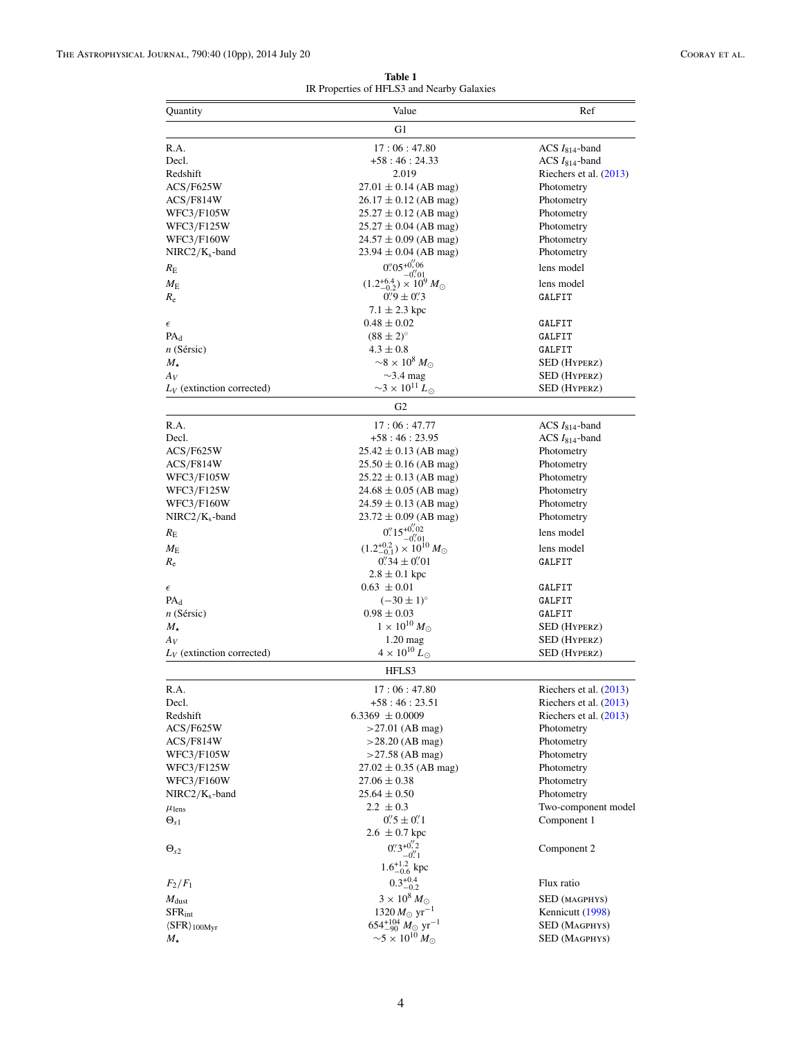<span id="page-3-0"></span>

| Quantity                       | Value                                                       | Ref                      |
|--------------------------------|-------------------------------------------------------------|--------------------------|
|                                | G1                                                          |                          |
| R.A.                           | 17:06:47.80                                                 | ACS $I_{814}$ -band      |
| Decl.                          | $+58:46:24.33$                                              | ACS $I_{814}$ -band      |
| Redshift                       | 2.019                                                       | Riechers et al. $(2013)$ |
| ACS/F625W                      | $27.01 \pm 0.14$ (AB mag)                                   | Photometry               |
| ACS/F814W                      | $26.17 \pm 0.12$ (AB mag)                                   | Photometry               |
| WFC3/F105W                     | $25.27 \pm 0.12$ (AB mag)                                   | Photometry               |
| WFC3/F125W                     | $25.27 \pm 0.04$ (AB mag)                                   | Photometry               |
| <b>WFC3/F160W</b>              | $24.57 \pm 0.09$ (AB mag)                                   | Photometry               |
|                                | $23.94 \pm 0.04$ (AB mag)                                   |                          |
| $NIRC2/K_s$ -band              | $0''.05^{+0''}.06$                                          | Photometry               |
| $R_{\rm E}$                    | $-0.01$                                                     | lens model               |
| $M_{\rm E}$                    | $(1.2^{+6.4}_{-0.2}) \times 10^9 M_{\odot}$                 | lens model               |
| $R_{\rm e}$                    | $0\rlap.{''}9 \pm 0\rlap.{''}3$                             | GALFIT                   |
|                                | $7.1 \pm 2.3$ kpc                                           |                          |
| $\epsilon$                     | $0.48 \pm 0.02$                                             | GALFIT                   |
| $PA_d$                         | $(88 \pm 2)$ <sup>o</sup>                                   | GALFIT                   |
| n (Sérsic)                     | $4.3 \pm 0.8$                                               | GALFIT                   |
| $M_{\star}$                    | $\sim8\times10^8$ $M_{\odot}$                               | <b>SED</b> (HYPERZ)      |
| Αv                             | $\sim$ 3.4 mag                                              | <b>SED</b> (HYPERZ)      |
| $L_V$ (extinction corrected)   | $\sim$ 3 × 10 <sup>11</sup> L <sub><math>\odot</math></sub> | SED (Hyperz)             |
|                                | G <sub>2</sub>                                              |                          |
| R.A.                           | 17:06:47.77                                                 | ACS $I_{814}$ -band      |
| Decl.                          | $+58:46:23.95$                                              | $ACS I814$ -band         |
| ACS/F625W                      | $25.42 \pm 0.13$ (AB mag)                                   | Photometry               |
| ACS/F814W                      | $25.50 \pm 0.16$ (AB mag)                                   | Photometry               |
| <b>WFC3/F105W</b>              | $25.22 \pm 0.13$ (AB mag)                                   | Photometry               |
| WFC3/F125W                     | $24.68 \pm 0.05$ (AB mag)                                   | Photometry               |
| <b>WFC3/F160W</b>              | $24.59 \pm 0.13$ (AB mag)                                   | Photometry               |
| $NIRC2/K_s$ -band              | $23.72 \pm 0.09$ (AB mag)                                   | Photometry               |
|                                | $0.15^{+0.02}$                                              |                          |
| $R_{\rm E}$                    | $-0.01$                                                     | lens model               |
| $M_{\rm E}$                    | $(1.2^{+0.2}_{-0.1})\times 10^{10} M_{\odot}$               | lens model               |
| $R_{\rm e}$                    | $0''34 \pm 0''01$                                           | GALFIT                   |
|                                | $2.8 \pm 0.1$ kpc                                           |                          |
| $\epsilon$                     | $0.63 \pm 0.01$                                             | GALFIT                   |
| $PA_d$                         | $(-30 \pm 1)^{\circ}$                                       | GALFIT                   |
| $n$ (Sérsic)                   | $0.98 \pm 0.03$                                             | GALFIT                   |
| $M_{\star}$                    | $1 \times 10^{10} M_{\odot}$                                | <b>SED</b> (HYPERZ)      |
| Αv                             | $1.20$ mag                                                  | <b>SED</b> (HYPERZ)      |
| $L_V$ (extinction corrected)   | $4 \times 10^{10} L_{\odot}$                                | <b>SED</b> (HYPERZ)      |
|                                | HFLS3                                                       |                          |
| R.A.                           | 17:06:47.80                                                 | Riechers et al. $(2013)$ |
| Decl.                          | $+58:46:23.51$                                              | Riechers et al. (2013)   |
| Redshift                       | $6.3369 \pm 0.0009$                                         | Riechers et al. (2013)   |
| ACS/F625W                      | $>27.01$ (AB mag)                                           | Photometry               |
| ACS/F814W                      | $>28.20$ (AB mag)                                           | Photometry               |
| WFC3/F105W                     | $>27.58$ (AB mag)                                           | Photometry               |
| WFC3/F125W                     | $27.02 \pm 0.35$ (AB mag)                                   | Photometry               |
| <b>WFC3/F160W</b>              | $27.06 \pm 0.38$                                            | Photometry               |
| $NIRC2/K_s$ -band              | $25.64 \pm 0.50$                                            | Photometry               |
| $\mu_{\rm lens}$               | $2.2 \pm 0.3$                                               | Two-component model      |
| $\Theta_{s1}$                  | $0''\!\!.5 \pm 0''\!\!.1$                                   | Component 1              |
|                                | $2.6 \pm 0.7 \,\text{kpc}$                                  |                          |
| $\Theta_{s2}$                  | $0''3^{+0''}2$                                              | Component 2              |
|                                | $-0.1$<br>$1.6^{+1.2}_{-0.6}$ kpc                           |                          |
| $F_2/F_1$                      | $0.3_{-0.2}^{+0.4}$                                         | Flux ratio               |
| $M_{\rm dust}$                 | $3 \times 10^8 M_{\odot}$                                   | SED (MAGPHYS)            |
| $SFR_{int}$                    | 1320 $M_{\odot}$ yr <sup>-1</sup>                           |                          |
|                                | 654 <sup>+104</sup> $M_{\odot}$ yr <sup>-1</sup>            | Kennicutt (1998)         |
| $\langle SFR \rangle_{100Myr}$ |                                                             | SED (MAGPHYS)            |
| $M_{\star}$                    | $\sim$ 5 $\times$ 10 <sup>10</sup> $M_{\odot}$              | <b>SED (MAGPHYS)</b>     |

**Table 1** IR Properties of HFLS3 and Nearby Galaxies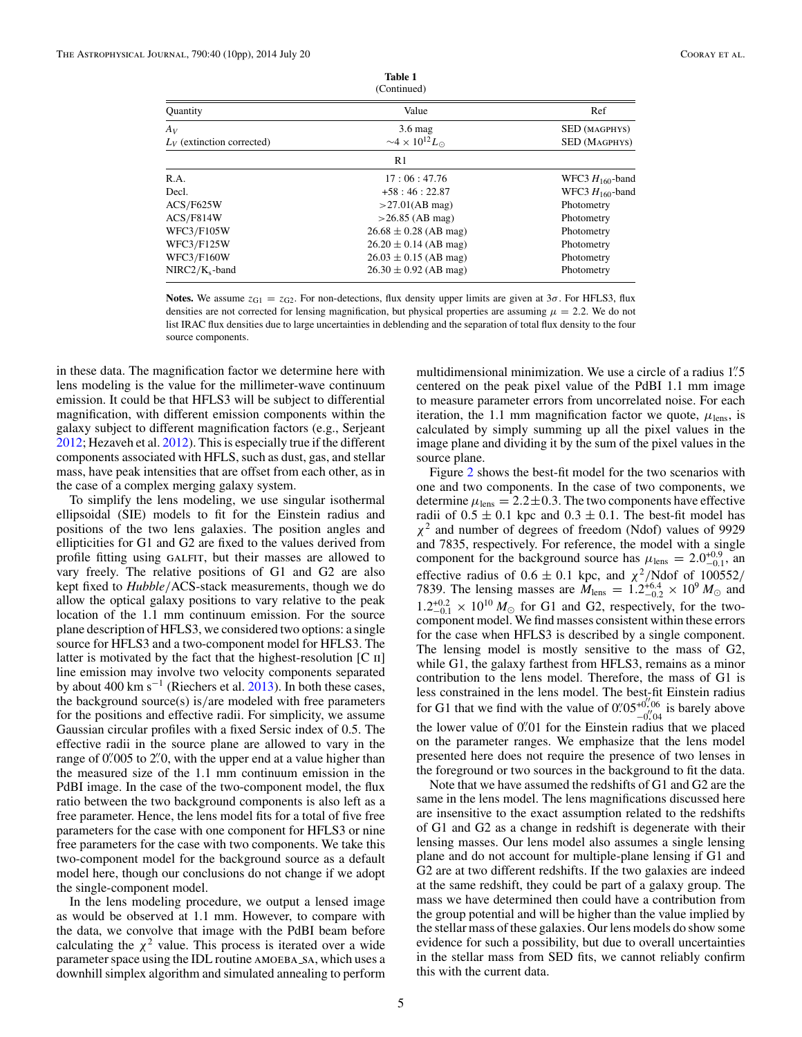| (Continued)                  |                                            |                      |  |
|------------------------------|--------------------------------------------|----------------------|--|
| Quantity                     | Value                                      | Ref                  |  |
| Av                           | $3.6$ mag                                  | <b>SED</b> (MAGPHYS) |  |
| $L_V$ (extinction corrected) | $\sim$ 4 × 10 <sup>12</sup> L <sub>o</sub> | <b>SED (MAGPHYS)</b> |  |
|                              | R <sub>1</sub>                             |                      |  |
| R.A.                         | 17:06:47.76                                | WFC3 $H_{160}$ -band |  |
| Decl.                        | $+58:46:22.87$                             | WFC3 $H_{160}$ -band |  |
| ACS/F625W                    | >27.01(AB mag)                             | Photometry           |  |
| ACS/F814W                    | $>26.85$ (AB mag)                          | Photometry           |  |
| <b>WFC3/F105W</b>            | $26.68 \pm 0.28$ (AB mag)                  | Photometry           |  |
| <b>WFC3/F125W</b>            | $26.20 \pm 0.14$ (AB mag)                  | Photometry           |  |
| <b>WFC3/F160W</b>            | $26.03 \pm 0.15$ (AB mag)                  | Photometry           |  |
| $NIRC2/K_s$ -band            | $26.30 \pm 0.92$ (AB mag)                  | Photometry           |  |

**Table 1**

**Notes.** We assume  $z_{G1} = z_{G2}$ . For non-detections, flux density upper limits are given at  $3\sigma$ . For HFLS3, flux densities are not corrected for lensing magnification, but physical properties are assuming  $\mu = 2.2$ . We do not list IRAC flux densities due to large uncertainties in deblending and the separation of total flux density to the four

in these data. The magnification factor we determine here with lens modeling is the value for the millimeter-wave continuum emission. It could be that HFLS3 will be subject to differential magnification, with different emission components within the galaxy subject to different magnification factors (e.g., Serjeant [2012;](#page-9-0) Hezaveh et al. [2012\)](#page-9-0). This is especially true if the different components associated with HFLS, such as dust, gas, and stellar mass, have peak intensities that are offset from each other, as in the case of a complex merging galaxy system.

source components.

To simplify the lens modeling, we use singular isothermal ellipsoidal (SIE) models to fit for the Einstein radius and positions of the two lens galaxies. The position angles and ellipticities for G1 and G2 are fixed to the values derived from profile fitting using GALFIT, but their masses are allowed to vary freely. The relative positions of G1 and G2 are also kept fixed to *Hubble/*ACS-stack measurements, though we do allow the optical galaxy positions to vary relative to the peak location of the 1.1 mm continuum emission. For the source plane description of HFLS3, we considered two options: a single source for HFLS3 and a two-component model for HFLS3. The latter is motivated by the fact that the highest-resolution [C ii] line emission may involve two velocity components separated by about 400 km s<sup> $-1$ </sup> (Riechers et al. [2013\)](#page-9-0). In both these cases, the background source(s) is*/*are modeled with free parameters for the positions and effective radii. For simplicity, we assume Gaussian circular profiles with a fixed Sersic index of 0.5. The effective radii in the source plane are allowed to vary in the range of 0.<sup>2</sup> 0. with the upper end at a value higher than the measured size of the 1.1 mm continuum emission in the PdBI image. In the case of the two-component model, the flux ratio between the two background components is also left as a free parameter. Hence, the lens model fits for a total of five free parameters for the case with one component for HFLS3 or nine free parameters for the case with two components. We take this two-component model for the background source as a default model here, though our conclusions do not change if we adopt the single-component model.

In the lens modeling procedure, we output a lensed image as would be observed at 1.1 mm. However, to compare with the data, we convolve that image with the PdBI beam before calculating the  $\chi^2$  value. This process is iterated over a wide parameter space using the IDL routine AMOEBA\_SA, which uses a downhill simplex algorithm and simulated annealing to perform

multidimensional minimization. We use a circle of a radius 1*.* 5 centered on the peak pixel value of the PdBI 1.1 mm image to measure parameter errors from uncorrelated noise. For each iteration, the 1.1 mm magnification factor we quote,  $\mu_{\text{lens}}$ , is calculated by simply summing up all the pixel values in the image plane and dividing it by the sum of the pixel values in the source plane.

Figure [2](#page-5-0) shows the best-fit model for the two scenarios with one and two components. In the case of two components, we determine  $\mu_{\text{lens}} = 2.2 \pm 0.3$ . The two components have effective radii of  $0.5 \pm 0.1$  kpc and  $0.3 \pm 0.1$ . The best-fit model has *χ*<sup>2</sup> and number of degrees of freedom (Ndof) values of 9929 and 7835, respectively. For reference, the model with a single component for the background source has  $\mu_{\text{lens}} = 2.0^{+0.9}_{-0.1}$ , and effective radius of  $0.6 \pm 0.1$  kpc, and  $\chi^2/N$ dof of 100552/ 7839. The lensing masses are  $M_{\text{lens}} = 1.2^{+6.4}_{-0.2} \times 10^9 M_{\odot}$  and  $1.2^{+0.2}_{-0.1} \times 10^{10} M_{\odot}$  for G1 and G2, respectively, for the two-component model. We find masses consistent within these errors for the case when HFLS3 is described by a single component. The lensing model is mostly sensitive to the mass of G2, while G1, the galaxy farthest from HFLS3, remains as a minor contribution to the lens model. Therefore, the mass of G1 is less constrained in the lens model. The best-fit Einstein radius for G1 that we find with the value of  $0.05^{+0.06}_{-0.06}$  $^{+0.06}_{-0.04}$  is barely above the lower value of 0*.* 01 for the Einstein radius that we placed on the parameter ranges. We emphasize that the lens model presented here does not require the presence of two lenses in the foreground or two sources in the background to fit the data.

Note that we have assumed the redshifts of G1 and G2 are the same in the lens model. The lens magnifications discussed here are insensitive to the exact assumption related to the redshifts of G1 and G2 as a change in redshift is degenerate with their lensing masses. Our lens model also assumes a single lensing plane and do not account for multiple-plane lensing if G1 and G2 are at two different redshifts. If the two galaxies are indeed at the same redshift, they could be part of a galaxy group. The mass we have determined then could have a contribution from the group potential and will be higher than the value implied by the stellar mass of these galaxies. Our lens models do show some evidence for such a possibility, but due to overall uncertainties in the stellar mass from SED fits, we cannot reliably confirm this with the current data.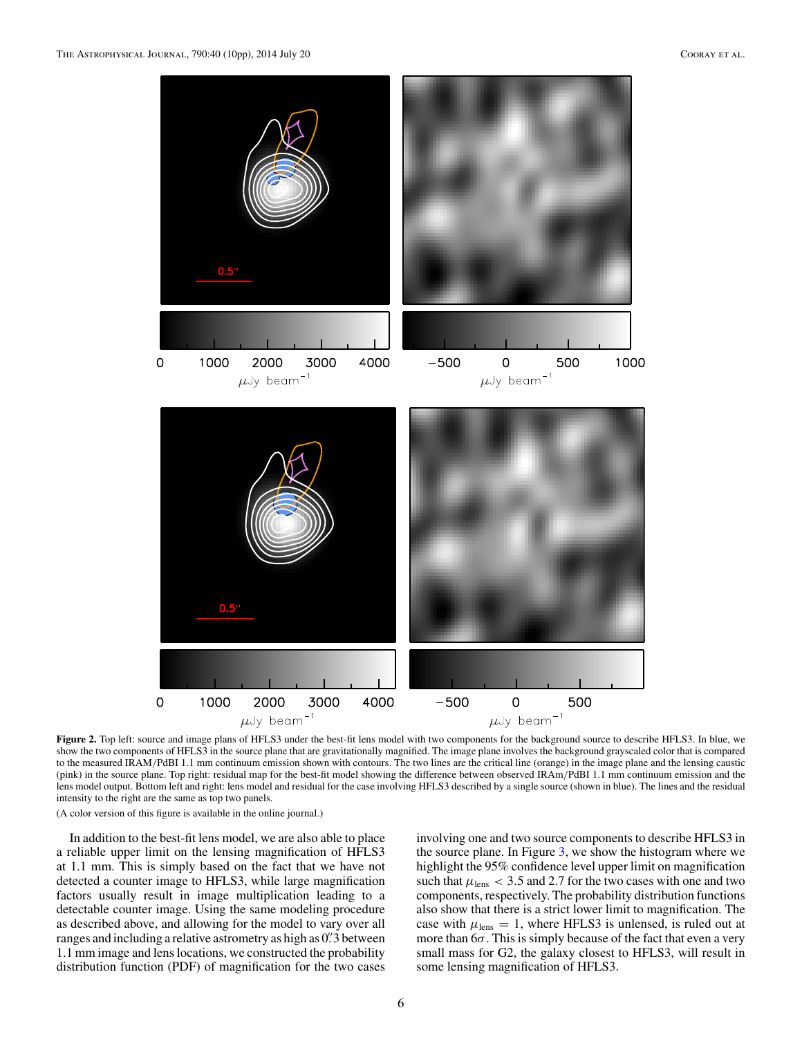<span id="page-5-0"></span>

**Figure 2.** Top left: source and image plans of HFLS3 under the best-fit lens model with two components for the background source to describe HFLS3. In blue, we show the two components of HFLS3 in the source plane that are gravitationally magnified. The image plane involves the background grayscaled color that is compared to the measured IRAM*/*PdBI 1.1 mm continuum emission shown with contours. The two lines are the critical line (orange) in the image plane and the lensing caustic (pink) in the source plane. Top right: residual map for the best-fit model showing the difference between observed IRAm*/*PdBI 1.1 mm continuum emission and the lens model output. Bottom left and right: lens model and residual for the case involving HFLS3 described by a single source (shown in blue). The lines and the residual intensity to the right are the same as top two panels.

In addition to the best-fit lens model, we are also able to place a reliable upper limit on the lensing magnification of HFLS3 at 1.1 mm. This is simply based on the fact that we have not detected a counter image to HFLS3, while large magnification factors usually result in image multiplication leading to a detectable counter image. Using the same modeling procedure as described above, and allowing for the model to vary over all ranges and including a relative astrometry as high as 0*.* 3 between 1.1 mm image and lens locations, we constructed the probability distribution function (PDF) of magnification for the two cases

involving one and two source components to describe HFLS3 in the source plane. In Figure [3,](#page-6-0) we show the histogram where we highlight the 95% confidence level upper limit on magnification such that  $\mu_{\text{lens}} < 3.5$  and 2.7 for the two cases with one and two components, respectively. The probability distribution functions also show that there is a strict lower limit to magnification. The case with  $\mu_{\text{lens}} = 1$ , where HFLS3 is unlensed, is ruled out at more than 6*σ*. This is simply because of the fact that even a very small mass for G2, the galaxy closest to HFLS3, will result in some lensing magnification of HFLS3.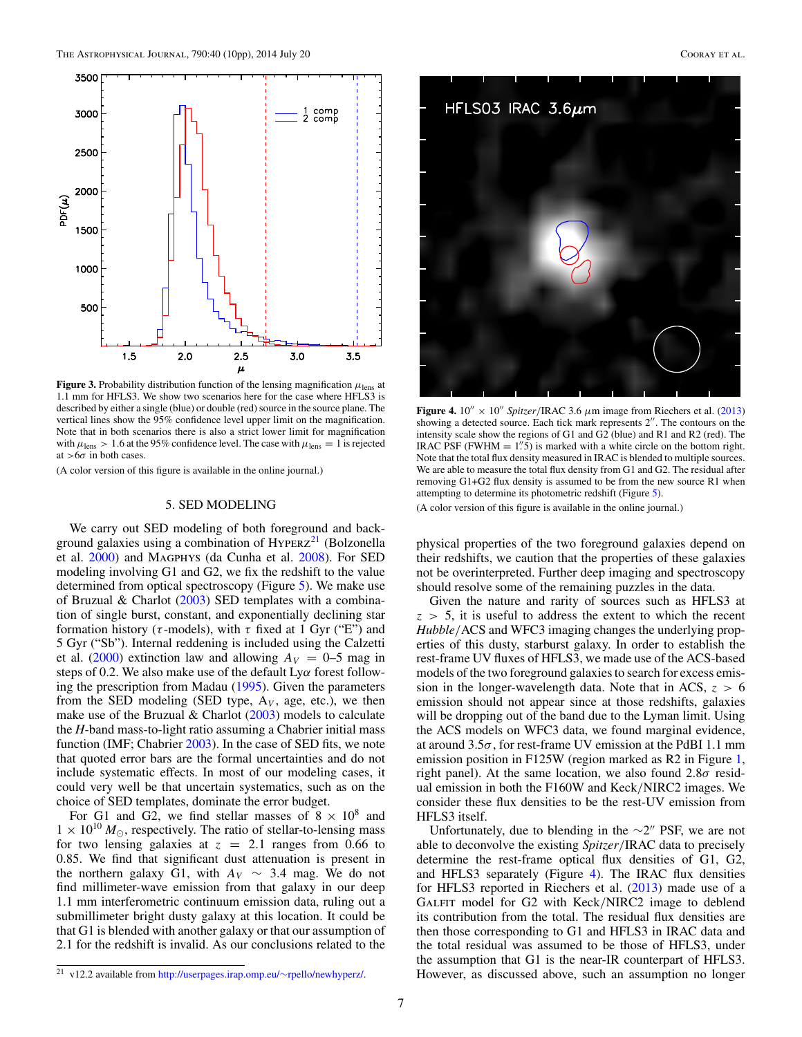<span id="page-6-0"></span>

**Figure 3.** Probability distribution function of the lensing magnification *μ*lens at 1.1 mm for HFLS3. We show two scenarios here for the case where HFLS3 is described by either a single (blue) or double (red) source in the source plane. The vertical lines show the 95% confidence level upper limit on the magnification. Note that in both scenarios there is also a strict lower limit for magnification with  $\mu_{\text{lens}} > 1.6$  at the 95% confidence level. The case with  $\mu_{\text{lens}} = 1$  is rejected at *>*6*σ* in both cases.

#### 5. SED MODELING

We carry out SED modeling of both foreground and background galaxies using a combination of  $HYPERZ<sup>21</sup>$  (Bolzonella et al. [2000\)](#page-9-0) and Magphys (da Cunha et al. [2008\)](#page-9-0). For SED modeling involving G1 and G2, we fix the redshift to the value determined from optical spectroscopy (Figure [5\)](#page-7-0). We make use of Bruzual & Charlot [\(2003\)](#page-9-0) SED templates with a combination of single burst, constant, and exponentially declining star formation history (*τ* -models), with *τ* fixed at 1 Gyr ("E") and 5 Gyr ("Sb"). Internal reddening is included using the Calzetti et al. [\(2000\)](#page-9-0) extinction law and allowing  $A_V = 0$ –5 mag in steps of 0.2. We also make use of the default Ly*α* forest following the prescription from Madau [\(1995\)](#page-9-0). Given the parameters from the SED modeling (SED type,  $A_V$ , age, etc.), we then make use of the Bruzual  $&$  Charlot [\(2003\)](#page-9-0) models to calculate the *H*-band mass-to-light ratio assuming a Chabrier initial mass function (IMF; Chabrier [2003\)](#page-9-0). In the case of SED fits, we note that quoted error bars are the formal uncertainties and do not include systematic effects. In most of our modeling cases, it could very well be that uncertain systematics, such as on the choice of SED templates, dominate the error budget.

For G1 and G2, we find stellar masses of  $8 \times 10^8$  and  $1 \times 10^{10} M_{\odot}$ , respectively. The ratio of stellar-to-lensing mass for two lensing galaxies at  $z = 2.1$  ranges from 0.66 to 0.85. We find that significant dust attenuation is present in the northern galaxy G1, with  $A_V \sim 3.4$  mag. We do not find millimeter-wave emission from that galaxy in our deep 1.1 mm interferometric continuum emission data, ruling out a submillimeter bright dusty galaxy at this location. It could be that G1 is blended with another galaxy or that our assumption of 2.1 for the redshift is invalid. As our conclusions related to the



**Figure 4.**  $10'' \times 10''$  *Spitzer*/IRAC 3.6  $\mu$ m image from Riechers et al. [\(2013\)](#page-9-0) showing a detected source. Each tick mark represents 2". The contours on the intensity scale show the regions of G1 and G2 (blue) and R1 and R2 (red). The IRAC PSF (FWHM  $= 1.5$ ) is marked with a white circle on the bottom right. Note that the total flux density measured in IRAC is blended to multiple sources. We are able to measure the total flux density from G1 and G2. The residual after removing G1+G2 flux density is assumed to be from the new source R1 when attempting to determine its photometric redshift (Figure [5\)](#page-7-0).

(A color version of this figure is available in the online journal.)

physical properties of the two foreground galaxies depend on their redshifts, we caution that the properties of these galaxies not be overinterpreted. Further deep imaging and spectroscopy should resolve some of the remaining puzzles in the data.

Given the nature and rarity of sources such as HFLS3 at  $z > 5$ , it is useful to address the extent to which the recent *Hubble/*ACS and WFC3 imaging changes the underlying properties of this dusty, starburst galaxy. In order to establish the rest-frame UV fluxes of HFLS3, we made use of the ACS-based models of the two foreground galaxies to search for excess emission in the longer-wavelength data. Note that in ACS, *z >* 6 emission should not appear since at those redshifts, galaxies will be dropping out of the band due to the Lyman limit. Using the ACS models on WFC3 data, we found marginal evidence, at around 3.5*σ*, for rest-frame UV emission at the PdBI 1.1 mm emission position in F125W (region marked as R2 in Figure [1,](#page-1-0) right panel). At the same location, we also found 2.8*σ* residual emission in both the F160W and Keck*/*NIRC2 images. We consider these flux densities to be the rest-UV emission from HFLS3 itself.

Unfortunately, due to blending in the  $\sim$ 2" PSF, we are not able to deconvolve the existing *Spitzer/*IRAC data to precisely determine the rest-frame optical flux densities of G1, G2, and HFLS3 separately (Figure 4). The IRAC flux densities for HFLS3 reported in Riechers et al. [\(2013\)](#page-9-0) made use of a Galfit model for G2 with Keck*/*NIRC2 image to deblend its contribution from the total. The residual flux densities are then those corresponding to G1 and HFLS3 in IRAC data and the total residual was assumed to be those of HFLS3, under the assumption that G1 is the near-IR counterpart of HFLS3. However, as discussed above, such an assumption no longer

<sup>21</sup> v12.2 available from [http://userpages.irap.omp.eu/](http://userpages.irap.omp.eu/~rpello/newhyperz/)∼rpello/newhyperz/.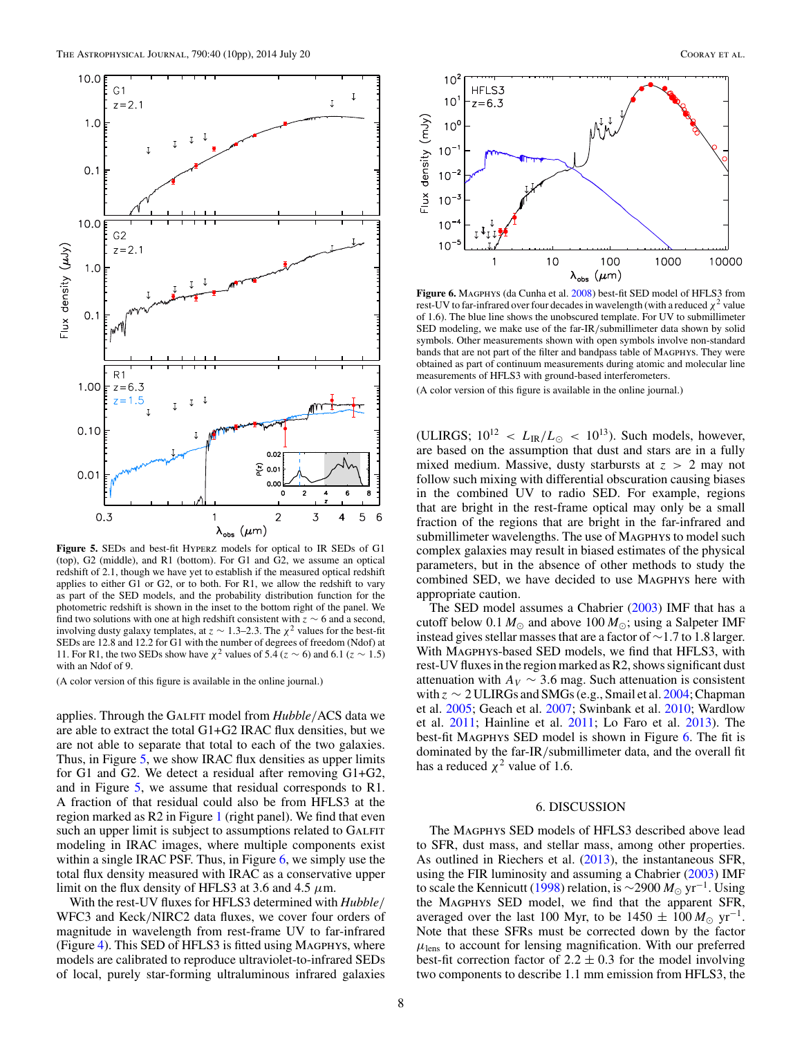<span id="page-7-0"></span>

**Figure 5.** SEDs and best-fit Hyperz models for optical to IR SEDs of G1 (top),  $G2$  (middle), and R1 (bottom). For  $G1$  and  $\tilde{G2}$ , we assume an optical redshift of 2.1, though we have yet to establish if the measured optical redshift applies to either G1 or G2, or to both. For R1, we allow the redshift to vary as part of the SED models, and the probability distribution function for the photometric redshift is shown in the inset to the bottom right of the panel. We find two solutions with one at high redshift consistent with *z* ∼ 6 and a second, involving dusty galaxy templates, at  $z \sim 1.3-2.3$ . The  $\chi^2$  values for the best-fit SEDs are 12.8 and 12.2 for G1 with the number of degrees of freedom (Ndof) at 11. For R1, the two SEDs show have  $\chi^2$  values of 5.4 ( $z \sim 6$ ) and 6.1 ( $z \sim 1.5$ ) with an Ndof of 9.

applies. Through the GALFIT model from *Hubble*/ACS data we are able to extract the total G1+G2 IRAC flux densities, but we are not able to separate that total to each of the two galaxies. Thus, in Figure 5, we show IRAC flux densities as upper limits for G1 and G2. We detect a residual after removing G1+G2, and in Figure 5, we assume that residual corresponds to R1. A fraction of that residual could also be from HFLS3 at the region marked as R2 in Figure [1](#page-1-0) (right panel). We find that even such an upper limit is subject to assumptions related to GALFIT modeling in IRAC images, where multiple components exist within a single IRAC PSF. Thus, in Figure  $6$ , we simply use the total flux density measured with IRAC as a conservative upper limit on the flux density of HFLS3 at 3.6 and 4.5 *μ*m.

With the rest-UV fluxes for HFLS3 determined with *Hubble/* WFC3 and Keck*/*NIRC2 data fluxes, we cover four orders of magnitude in wavelength from rest-frame UV to far-infrared (Figure [4\)](#page-6-0). This SED of HFLS3 is fitted using Magphys, where models are calibrated to reproduce ultraviolet-to-infrared SEDs of local, purely star-forming ultraluminous infrared galaxies



Figure 6. MAGPHYS (da Cunha et al. [2008\)](#page-9-0) best-fit SED model of HFLS3 from rest-UV to far-infrared over four decades in wavelength (with a reduced  $\chi^2$  value of 1.6). The blue line shows the unobscured template. For UV to submillimeter SED modeling, we make use of the far-IR*/*submillimeter data shown by solid symbols. Other measurements shown with open symbols involve non-standard bands that are not part of the filter and bandpass table of MAGPHYS. They were obtained as part of continuum measurements during atomic and molecular line measurements of HFLS3 with ground-based interferometers.

(A color version of this figure is available in the online journal.)

(ULIRGS;  $10^{12}$  <  $L_{IR}/L_{\odot}$  <  $10^{13}$ ). Such models, however, are based on the assumption that dust and stars are in a fully mixed medium. Massive, dusty starbursts at *z >* 2 may not follow such mixing with differential obscuration causing biases in the combined UV to radio SED. For example, regions that are bright in the rest-frame optical may only be a small fraction of the regions that are bright in the far-infrared and submillimeter wavelengths. The use of MAGPHYS to model such complex galaxies may result in biased estimates of the physical parameters, but in the absence of other methods to study the combined SED, we have decided to use Magphys here with appropriate caution.

The SED model assumes a Chabrier [\(2003\)](#page-9-0) IMF that has a cutoff below 0.1  $M_{\odot}$  and above 100  $M_{\odot}$ ; using a Salpeter IMF instead gives stellar masses that are a factor of ∼1.7 to 1.8 larger. With Magphys-based SED models, we find that HFLS3, with rest-UV fluxes in the region marked as R2, shows significant dust attenuation with  $A_V \sim 3.6$  mag. Such attenuation is consistent with  $z \sim 2$  ULIRGs and SMGs (e.g., Smail et al. [2004;](#page-9-0) Chapman et al. [2005;](#page-9-0) Geach et al. [2007;](#page-9-0) Swinbank et al. [2010;](#page-9-0) Wardlow et al. [2011;](#page-9-0) Hainline et al. [2011;](#page-9-0) Lo Faro et al. [2013\)](#page-9-0). The best-fit Magphys SED model is shown in Figure 6. The fit is dominated by the far-IR*/*submillimeter data, and the overall fit has a reduced  $\chi^2$  value of 1.6.

# 6. DISCUSSION

The Magphys SED models of HFLS3 described above lead to SFR, dust mass, and stellar mass, among other properties. As outlined in Riechers et al. [\(2013\)](#page-9-0), the instantaneous SFR, using the FIR luminosity and assuming a Chabrier [\(2003\)](#page-9-0) IMF to scale the Kennicutt [\(1998\)](#page-9-0) relation, is  $\sim$ 2900  $M_{\odot}$  yr<sup>-1</sup>. Using the Magphys SED model, we find that the apparent SFR, averaged over the last 100 Myr, to be  $1450 \pm 100 M_{\odot} \text{ yr}^{-1}$ . Note that these SFRs must be corrected down by the factor  $\mu_{\text{lens}}$  to account for lensing magnification. With our preferred best-fit correction factor of  $2.2 \pm 0.3$  for the model involving two components to describe 1.1 mm emission from HFLS3, the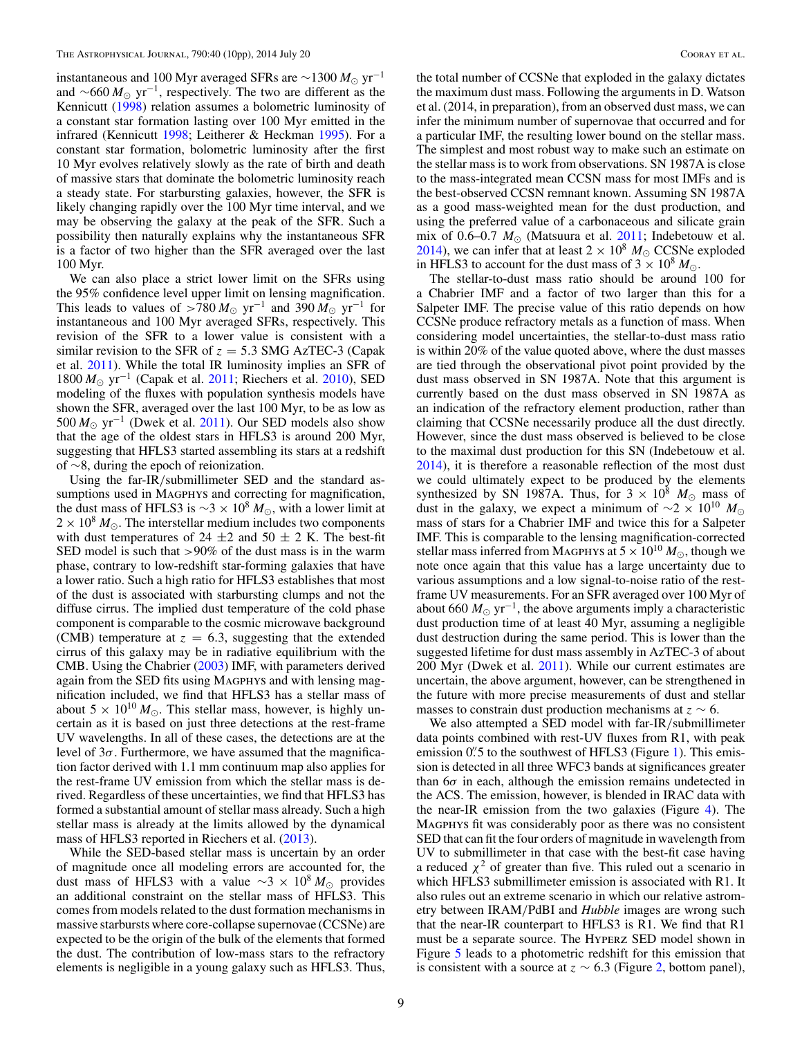instantaneous and 100 Myr averaged SFRs are  $\sim$ 1300  $M_{\odot}$  yr<sup>-1</sup> and  $\sim$ 660  $M_{\odot}$  yr<sup>-1</sup>, respectively. The two are different as the Kennicutt [\(1998\)](#page-9-0) relation assumes a bolometric luminosity of a constant star formation lasting over 100 Myr emitted in the infrared (Kennicutt [1998;](#page-9-0) Leitherer & Heckman [1995\)](#page-9-0). For a constant star formation, bolometric luminosity after the first 10 Myr evolves relatively slowly as the rate of birth and death of massive stars that dominate the bolometric luminosity reach a steady state. For starbursting galaxies, however, the SFR is likely changing rapidly over the 100 Myr time interval, and we may be observing the galaxy at the peak of the SFR. Such a possibility then naturally explains why the instantaneous SFR is a factor of two higher than the SFR averaged over the last 100 Myr.

We can also place a strict lower limit on the SFRs using the 95% confidence level upper limit on lensing magnification. This leads to values of >780  $M_{\odot}$  yr<sup>-1</sup> and 390  $M_{\odot}$  yr<sup>-1</sup> for instantaneous and 100 Myr averaged SFRs, respectively. This revision of the SFR to a lower value is consistent with a similar revision to the SFR of  $z = 5.3$  SMG AzTEC-3 (Capak et al. [2011\)](#page-9-0). While the total IR luminosity implies an SFR of 1800 *M*<sub>⊙</sub> yr<sup>-1</sup> (Capak et al. [2011;](#page-9-0) Riechers et al. [2010\)](#page-9-0), SED modeling of the fluxes with population synthesis models have shown the SFR, averaged over the last 100 Myr, to be as low as 500  $M_{\odot}$  yr<sup>-1</sup> (Dwek et al. [2011\)](#page-9-0). Our SED models also show that the age of the oldest stars in HFLS3 is around 200 Myr, suggesting that HFLS3 started assembling its stars at a redshift of ∼8, during the epoch of reionization.

Using the far-IR*/*submillimeter SED and the standard assumptions used in MAGPHYS and correcting for magnification, the dust mass of HFLS3 is  $\sim$ 3 × 10<sup>8</sup>  $M_{\odot}$ , with a lower limit at  $2 \times 10^8 M_{\odot}$ . The interstellar medium includes two components with dust temperatures of 24  $\pm$ 2 and 50  $\pm$  2 K. The best-fit SED model is such that *>*90% of the dust mass is in the warm phase, contrary to low-redshift star-forming galaxies that have a lower ratio. Such a high ratio for HFLS3 establishes that most of the dust is associated with starbursting clumps and not the diffuse cirrus. The implied dust temperature of the cold phase component is comparable to the cosmic microwave background (CMB) temperature at  $z = 6.3$ , suggesting that the extended cirrus of this galaxy may be in radiative equilibrium with the CMB. Using the Chabrier [\(2003\)](#page-9-0) IMF, with parameters derived again from the SED fits using MAGPHYS and with lensing magnification included, we find that HFLS3 has a stellar mass of about 5  $\times$  10<sup>10</sup>  $M_{\odot}$ . This stellar mass, however, is highly uncertain as it is based on just three detections at the rest-frame UV wavelengths. In all of these cases, the detections are at the level of 3*σ*. Furthermore, we have assumed that the magnification factor derived with 1.1 mm continuum map also applies for the rest-frame UV emission from which the stellar mass is derived. Regardless of these uncertainties, we find that HFLS3 has formed a substantial amount of stellar mass already. Such a high stellar mass is already at the limits allowed by the dynamical mass of HFLS3 reported in Riechers et al. [\(2013\)](#page-9-0).

While the SED-based stellar mass is uncertain by an order of magnitude once all modeling errors are accounted for, the dust mass of HFLS3 with a value  $\sim$ 3 × 10<sup>8</sup>  $M_{\odot}$  provides an additional constraint on the stellar mass of HFLS3. This comes from models related to the dust formation mechanisms in massive starbursts where core-collapse supernovae (CCSNe) are expected to be the origin of the bulk of the elements that formed the dust. The contribution of low-mass stars to the refractory elements is negligible in a young galaxy such as HFLS3. Thus,

the total number of CCSNe that exploded in the galaxy dictates the maximum dust mass. Following the arguments in D. Watson et al. (2014, in preparation), from an observed dust mass, we can infer the minimum number of supernovae that occurred and for a particular IMF, the resulting lower bound on the stellar mass. The simplest and most robust way to make such an estimate on the stellar mass is to work from observations. SN 1987A is close to the mass-integrated mean CCSN mass for most IMFs and is the best-observed CCSN remnant known. Assuming SN 1987A as a good mass-weighted mean for the dust production, and using the preferred value of a carbonaceous and silicate grain mix of 0.6–0.7  $M_{\odot}$  (Matsuura et al. [2011;](#page-9-0) Indebetouw et al. [2014\)](#page-9-0), we can infer that at least  $2 \times 10^8$   $M_{\odot}$  CCSNe exploded in HFLS3 to account for the dust mass of  $3 \times 10^8 M_{\odot}$ .

The stellar-to-dust mass ratio should be around 100 for a Chabrier IMF and a factor of two larger than this for a Salpeter IMF. The precise value of this ratio depends on how CCSNe produce refractory metals as a function of mass. When considering model uncertainties, the stellar-to-dust mass ratio is within 20% of the value quoted above, where the dust masses are tied through the observational pivot point provided by the dust mass observed in SN 1987A. Note that this argument is currently based on the dust mass observed in SN 1987A as an indication of the refractory element production, rather than claiming that CCSNe necessarily produce all the dust directly. However, since the dust mass observed is believed to be close to the maximal dust production for this SN (Indebetouw et al. [2014\)](#page-9-0), it is therefore a reasonable reflection of the most dust we could ultimately expect to be produced by the elements synthesized by SN 1987A. Thus, for  $3 \times 10^8$  *M*<sub> $\odot$ </sub> mass of dust in the galaxy, we expect a minimum of ∼2 × 10<sup>10</sup>  $M_{\odot}$ mass of stars for a Chabrier IMF and twice this for a Salpeter IMF. This is comparable to the lensing magnification-corrected stellar mass inferred from MAGPHYS at  $5 \times 10^{10} M_{\odot}$ , though we note once again that this value has a large uncertainty due to various assumptions and a low signal-to-noise ratio of the restframe UV measurements. For an SFR averaged over 100 Myr of about 660  $M_{\odot}$  yr<sup>-1</sup>, the above arguments imply a characteristic dust production time of at least 40 Myr, assuming a negligible dust destruction during the same period. This is lower than the suggested lifetime for dust mass assembly in AzTEC-3 of about 200 Myr (Dwek et al. [2011\)](#page-9-0). While our current estimates are uncertain, the above argument, however, can be strengthened in the future with more precise measurements of dust and stellar masses to constrain dust production mechanisms at *z* ∼ 6.

We also attempted a SED model with far-IR*/*submillimeter data points combined with rest-UV fluxes from R1, with peak emission 0.<sup>''</sup> 5 to the southwest of HFLS3 (Figure [1\)](#page-1-0). This emission is detected in all three WFC3 bands at significances greater than 6*σ* in each, although the emission remains undetected in the ACS. The emission, however, is blended in IRAC data with the near-IR emission from the two galaxies (Figure [4\)](#page-6-0). The Magphys fit was considerably poor as there was no consistent SED that can fit the four orders of magnitude in wavelength from UV to submillimeter in that case with the best-fit case having a reduced  $\chi^2$  of greater than five. This ruled out a scenario in which HFLS3 submillimeter emission is associated with R1. It also rules out an extreme scenario in which our relative astrometry between IRAM*/*PdBI and *Hubble* images are wrong such that the near-IR counterpart to HFLS3 is R1. We find that R1 must be a separate source. The Hyperz SED model shown in Figure [5](#page-7-0) leads to a photometric redshift for this emission that is consistent with a source at  $z \sim 6.3$  (Figure [2,](#page-5-0) bottom panel),